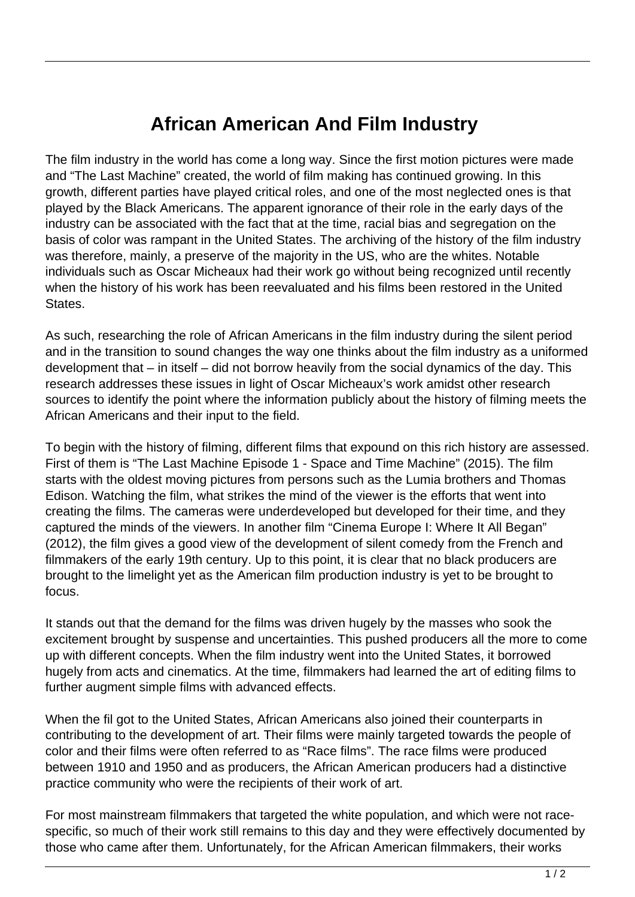## **African American And Film Industry**

The film industry in the world has come a long way. Since the first motion pictures were made and "The Last Machine" created, the world of film making has continued growing. In this growth, different parties have played critical roles, and one of the most neglected ones is that played by the Black Americans. The apparent ignorance of their role in the early days of the industry can be associated with the fact that at the time, racial bias and segregation on the basis of color was rampant in the United States. The archiving of the history of the film industry was therefore, mainly, a preserve of the majority in the US, who are the whites. Notable individuals such as Oscar Micheaux had their work go without being recognized until recently when the history of his work has been reevaluated and his films been restored in the United States.

As such, researching the role of African Americans in the film industry during the silent period and in the transition to sound changes the way one thinks about the film industry as a uniformed development that – in itself – did not borrow heavily from the social dynamics of the day. This research addresses these issues in light of Oscar Micheaux's work amidst other research sources to identify the point where the information publicly about the history of filming meets the African Americans and their input to the field.

To begin with the history of filming, different films that expound on this rich history are assessed. First of them is "The Last Machine Episode 1 - Space and Time Machine" (2015). The film starts with the oldest moving pictures from persons such as the Lumia brothers and Thomas Edison. Watching the film, what strikes the mind of the viewer is the efforts that went into creating the films. The cameras were underdeveloped but developed for their time, and they captured the minds of the viewers. In another film "Cinema Europe I: Where It All Began" (2012), the film gives a good view of the development of silent comedy from the French and filmmakers of the early 19th century. Up to this point, it is clear that no black producers are brought to the limelight yet as the American film production industry is yet to be brought to focus.

It stands out that the demand for the films was driven hugely by the masses who sook the excitement brought by suspense and uncertainties. This pushed producers all the more to come up with different concepts. When the film industry went into the United States, it borrowed hugely from acts and cinematics. At the time, filmmakers had learned the art of editing films to further augment simple films with advanced effects.

When the fil got to the United States, African Americans also joined their counterparts in contributing to the development of art. Their films were mainly targeted towards the people of color and their films were often referred to as "Race films". The race films were produced between 1910 and 1950 and as producers, the African American producers had a distinctive practice community who were the recipients of their work of art.

For most mainstream filmmakers that targeted the white population, and which were not racespecific, so much of their work still remains to this day and they were effectively documented by those who came after them. Unfortunately, for the African American filmmakers, their works